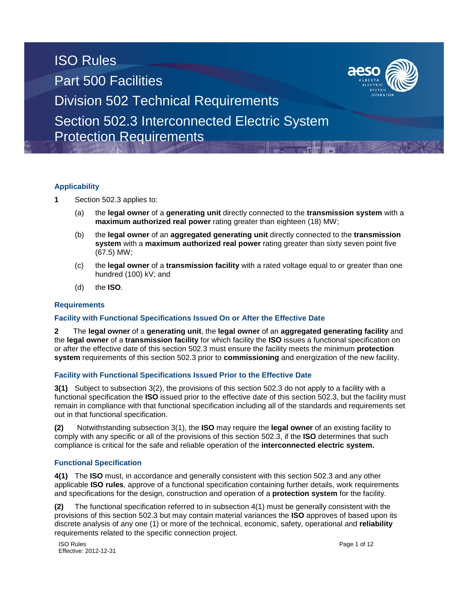



### **Applicability**

**1** Section 502.3 applies to:

- (a) the **legal owner** of a **generating unit** directly connected to the **transmission system** with a **maximum authorized real power** rating greater than eighteen (18) MW;
- (b) the **legal owner** of an **aggregated generating unit** directly connected to the **transmission system** with a **maximum authorized real power** rating greater than sixty seven point five (67.5) MW;
- (c) the **legal owner** of a **transmission facility** with a rated voltage equal to or greater than one hundred (100) kV; and
- (d) the **ISO**.

### **Requirements**

#### **Facility with Functional Specifications Issued On or After the Effective Date**

**2** The **legal owner** of a **generating unit**, the **legal owner** of an **aggregated generating facility** and the **legal owner** of a **transmission facility** for which facility the **ISO** issues a functional specification on or after the effective date of this section 502.3 must ensure the facility meets the minimum **protection system** requirements of this section 502.3 prior to **commissioning** and energization of the new facility.

#### **Facility with Functional Specifications Issued Prior to the Effective Date**

**3(1)** Subject to subsection 3(2), the provisions of this section 502.3 do not apply to a facility with a functional specification the **ISO** issued prior to the effective date of this section 502.3, but the facility must remain in compliance with that functional specification including all of the standards and requirements set out in that functional specification.

**(2)** Notwithstanding subsection 3(1), the **ISO** may require the **legal owner** of an existing facility to comply with any specific or all of the provisions of this section 502.3, if the **ISO** determines that such compliance is critical for the safe and reliable operation of the **interconnected electric system.**

### **Functional Specification**

**4(1)** The **ISO** must, in accordance and generally consistent with this section 502.3 and any other applicable **ISO rules***,* approve of a functional specification containing further details, work requirements and specifications for the design, construction and operation of a **protection system** for the facility.

**(2)** The functional specification referred to in subsection 4(1) must be generally consistent with the provisions of this section 502.3 but may contain material variances the **ISO** approves of based upon its discrete analysis of any one (1) or more of the technical, economic, safety, operational and **reliability** requirements related to the specific connection project.

ISO Rules Page 1 of 12 Effective: 2012-12-31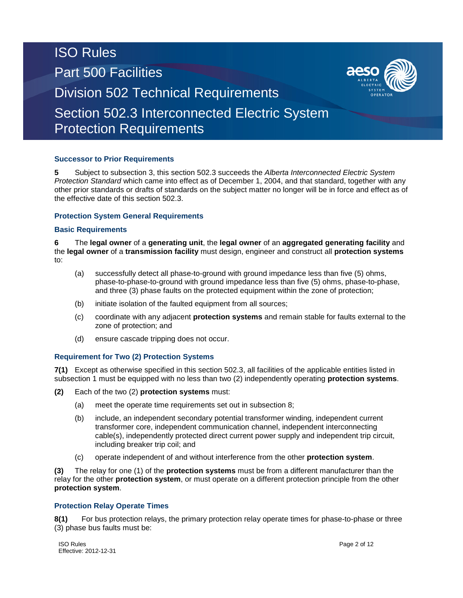## **Successor to Prior Requirements**

**5** Subject to subsection 3, this section 502.3 succeeds the *Alberta Interconnected Electric System Protection Standard* which came into effect as of December 1, 2004, and that standard, together with any other prior standards or drafts of standards on the subject matter no longer will be in force and effect as of the effective date of this section 502.3.

## **Protection System General Requirements**

### **Basic Requirements**

**6** The **legal owner** of a **generating unit**, the **legal owner** of an **aggregated generating facility** and the **legal owner** of a **transmission facility** must design, engineer and construct all **protection systems**  to:

- (a) successfully detect all phase-to-ground with ground impedance less than five (5) ohms, phase-to-phase-to-ground with ground impedance less than five (5) ohms, phase-to-phase, and three (3) phase faults on the protected equipment within the zone of protection;
- (b) initiate isolation of the faulted equipment from all sources;
- (c) coordinate with any adjacent **protection systems** and remain stable for faults external to the zone of protection; and
- (d) ensure cascade tripping does not occur.

# **Requirement for Two (2) Protection Systems**

**7(1)** Except as otherwise specified in this section 502.3, all facilities of the applicable entities listed in subsection 1 must be equipped with no less than two (2) independently operating **protection systems**.

- **(2)** Each of the two (2) **protection systems** must:
	- (a) meet the operate time requirements set out in subsection 8;
	- (b) include, an independent secondary potential transformer winding, independent current transformer core, independent communication channel, independent interconnecting cable(s), independently protected direct current power supply and independent trip circuit, including breaker trip coil; and
	- (c) operate independent of and without interference from the other **protection system**.

**(3)** The relay for one (1) of the **protection systems** must be from a different manufacturer than the relay for the other **protection system**, or must operate on a different protection principle from the other **protection system**.

### **Protection Relay Operate Times**

**8(1)** For bus protection relays, the primary protection relay operate times for phase-to-phase or three (3) phase bus faults must be:

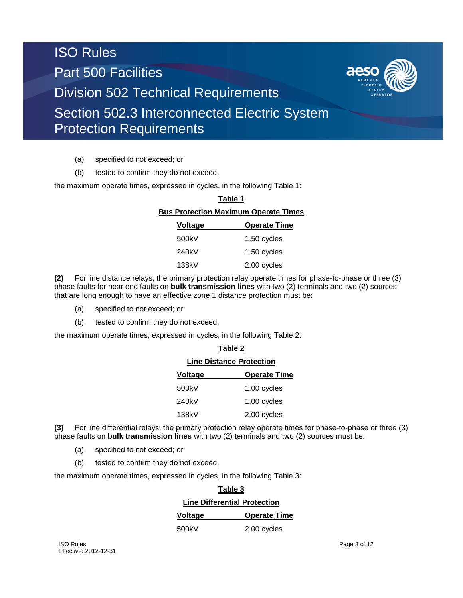

- (a) specified to not exceed; or
- (b) tested to confirm they do not exceed,

the maximum operate times, expressed in cycles, in the following Table 1:

| Table 1                                     |                     |  |
|---------------------------------------------|---------------------|--|
| <b>Bus Protection Maximum Operate Times</b> |                     |  |
| Voltage                                     | <b>Operate Time</b> |  |
| 500kV                                       | 1.50 cycles         |  |
| 240kV                                       | 1.50 cycles         |  |
| 138kV                                       | 2.00 cycles         |  |
|                                             |                     |  |

**(2)** For line distance relays, the primary protection relay operate times for phase-to-phase or three (3) phase faults for near end faults on **bulk transmission lines** with two (2) terminals and two (2) sources that are long enough to have an effective zone 1 distance protection must be:

- (a) specified to not exceed; or
- (b) tested to confirm they do not exceed,

the maximum operate times, expressed in cycles, in the following Table 2:

| Table 2                         |                     |  |
|---------------------------------|---------------------|--|
| <b>Line Distance Protection</b> |                     |  |
| Voltage                         | <b>Operate Time</b> |  |
| 500kV                           | 1.00 cycles         |  |
| 240kV                           | 1.00 cycles         |  |
| 138kV                           | 2.00 cycles         |  |

**(3)** For line differential relays, the primary protection relay operate times for phase-to-phase or three (3) phase faults on **bulk transmission lines** with two (2) terminals and two (2) sources must be:

- (a) specified to not exceed; or
- (b) tested to confirm they do not exceed,

the maximum operate times, expressed in cycles, in the following Table 3:

| Table 3                             |                     |  |
|-------------------------------------|---------------------|--|
| <b>Line Differential Protection</b> |                     |  |
| <b>Voltage</b>                      | <b>Operate Time</b> |  |
| 500kV                               | 2.00 cycles         |  |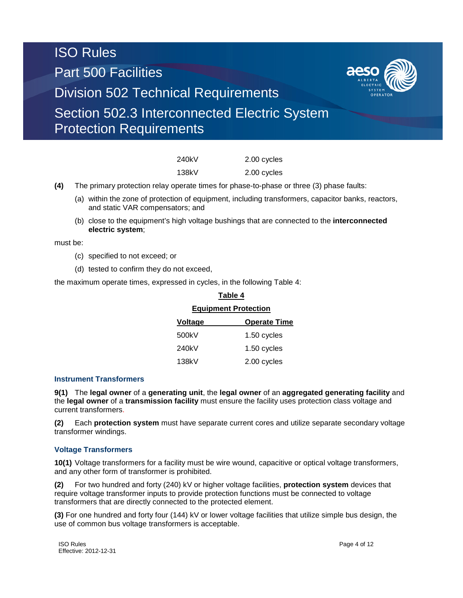

| 240kV | 2.00 cycles |
|-------|-------------|
| 138kV | 2.00 cycles |

- **(4)** The primary protection relay operate times for phase-to-phase or three (3) phase faults:
	- (a) within the zone of protection of equipment, including transformers, capacitor banks, reactors, and static VAR compensators; and
	- (b) close to the equipment's high voltage bushings that are connected to the **interconnected electric system**;

must be:

- (c) specified to not exceed; or
- (d) tested to confirm they do not exceed,

the maximum operate times, expressed in cycles, in the following Table 4:

| <b>Equipment Protection</b> |                     |  |
|-----------------------------|---------------------|--|
| <b>Voltage</b>              | <b>Operate Time</b> |  |
| 500kV                       | 1.50 cycles         |  |
| 240kV                       | 1.50 cycles         |  |
| 138kV                       | 2.00 cycles         |  |

**Table 4**

### **Instrument Transformers**

**9(1)** The **legal owner** of a **generating unit**, the **legal owner** of an **aggregated generating facility** and the **legal owner** of a **transmission facility** must ensure the facility uses protection class voltage and current transformers.

**(2)** Each **protection system** must have separate current cores and utilize separate secondary voltage transformer windings.

### **Voltage Transformers**

**10(1)** Voltage transformers for a facility must be wire wound, capacitive or optical voltage transformers, and any other form of transformer is prohibited.

**(2)** For two hundred and forty (240) kV or higher voltage facilities, **protection system** devices that require voltage transformer inputs to provide protection functions must be connected to voltage transformers that are directly connected to the protected element.

**(3)** For one hundred and forty four (144) kV or lower voltage facilities that utilize simple bus design, the use of common bus voltage transformers is acceptable.

ISO Rules Page 4 of 12 Effective: 2012-12-31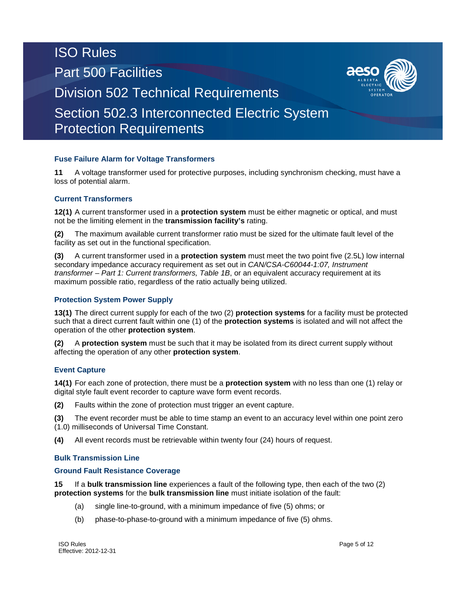# **Fuse Failure Alarm for Voltage Transformers**

**11** A voltage transformer used for protective purposes, including synchronism checking, must have a loss of potential alarm.

# **Current Transformers**

**12(1)** A current transformer used in a **protection system** must be either magnetic or optical, and must not be the limiting element in the **transmission facility's** rating.

**(2)** The maximum available current transformer ratio must be sized for the ultimate fault level of the facility as set out in the functional specification.

**(3)** A current transformer used in a **protection system** must meet the two point five (2.5L) low internal secondary impedance accuracy requirement as set out in *CAN/CSA-C60044-1:07, Instrument transformer – Part 1: Current transformers, Table 1B*, or an equivalent accuracy requirement at its maximum possible ratio, regardless of the ratio actually being utilized.

### **Protection System Power Supply**

**13(1)** The direct current supply for each of the two (2) **protection systems** for a facility must be protected such that a direct current fault within one (1) of the **protection systems** is isolated and will not affect the operation of the other **protection system**.

**(2)** A **protection system** must be such that it may be isolated from its direct current supply without affecting the operation of any other **protection system**.

# **Event Capture**

**14(1)** For each zone of protection, there must be a **protection system** with no less than one (1) relay or digital style fault event recorder to capture wave form event records.

**(2)** Faults within the zone of protection must trigger an event capture.

**(3)** The event recorder must be able to time stamp an event to an accuracy level within one point zero (1.0) milliseconds of Universal Time Constant.

**(4)** All event records must be retrievable within twenty four (24) hours of request.

### **Bulk Transmission Line**

# **Ground Fault Resistance Coverage**

**15** If a **bulk transmission line** experiences a fault of the following type, then each of the two (2) **protection systems** for the **bulk transmission line** must initiate isolation of the fault:

- (a) single line-to-ground, with a minimum impedance of five (5) ohms; or
- (b) phase-to-phase-to-ground with a minimum impedance of five (5) ohms.

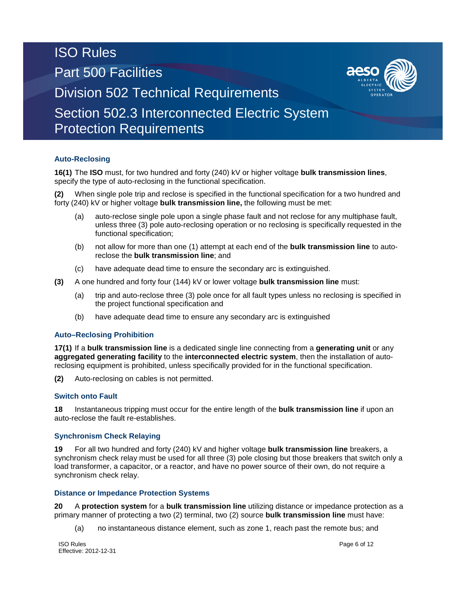# **Auto-Reclosing**

**16(1)** The **ISO** must, for two hundred and forty (240) kV or higher voltage **bulk transmission lines**, specify the type of auto-reclosing in the functional specification.

**(2)** When single pole trip and reclose is specified in the functional specification for a two hundred and forty (240) kV or higher voltage **bulk transmission line,** the following must be met:

- (a) auto-reclose single pole upon a single phase fault and not reclose for any multiphase fault, unless three (3) pole auto-reclosing operation or no reclosing is specifically requested in the functional specification;
- (b) not allow for more than one (1) attempt at each end of the **bulk transmission line** to autoreclose the **bulk transmission line**; and
- (c) have adequate dead time to ensure the secondary arc is extinguished.
- **(3)** A one hundred and forty four (144) kV or lower voltage **bulk transmission line** must:
	- (a) trip and auto-reclose three (3) pole once for all fault types unless no reclosing is specified in the project functional specification and
	- (b) have adequate dead time to ensure any secondary arc is extinguished

### **Auto–Reclosing Prohibition**

**17(1)** If a **bulk transmission line** is a dedicated single line connecting from a **generating unit** or any **aggregated generating facility** to the **interconnected electric system**, then the installation of autoreclosing equipment is prohibited, unless specifically provided for in the functional specification.

**(2)** Auto-reclosing on cables is not permitted.

### **Switch onto Fault**

**18** Instantaneous tripping must occur for the entire length of the **bulk transmission line** if upon an auto-reclose the fault re-establishes.

### **Synchronism Check Relaying**

**19** For all two hundred and forty (240) kV and higher voltage **bulk transmission line** breakers, a synchronism check relay must be used for all three (3) pole closing but those breakers that switch only a load transformer, a capacitor, or a reactor, and have no power source of their own, do not require a synchronism check relay.

### **Distance or Impedance Protection Systems**

**20** A **protection system** for a **bulk transmission line** utilizing distance or impedance protection as a primary manner of protecting a two (2) terminal, two (2) source **bulk transmission line** must have:

(a) no instantaneous distance element, such as zone 1, reach past the remote bus; and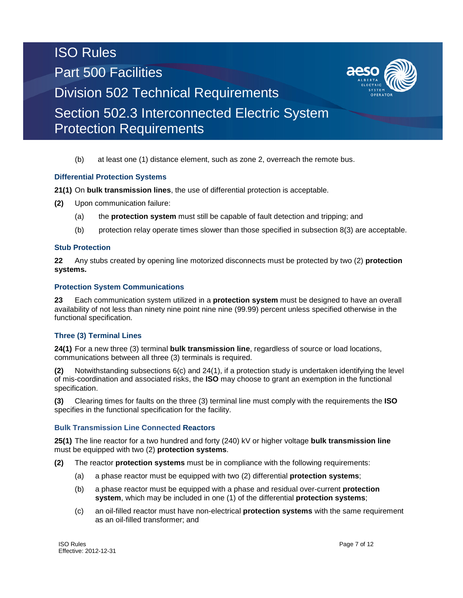# (b) at least one (1) distance element, such as zone 2, overreach the remote bus.

## **Differential Protection Systems**

**21(1)** On **bulk transmission lines**, the use of differential protection is acceptable.

- **(2)** Upon communication failure:
	- (a) the **protection system** must still be capable of fault detection and tripping; and
	- (b) protection relay operate times slower than those specified in subsection 8(3) are acceptable.

### **Stub Protection**

**22** Any stubs created by opening line motorized disconnects must be protected by two (2) **protection systems.**

### **Protection System Communications**

**23** Each communication system utilized in a **protection system** must be designed to have an overall availability of not less than ninety nine point nine nine (99.99) percent unless specified otherwise in the functional specification.

### **Three (3) Terminal Lines**

**24(1)** For a new three (3) terminal **bulk transmission line**, regardless of source or load locations, communications between all three (3) terminals is required.

**(2)** Notwithstanding subsections 6(c) and 24(1), if a protection study is undertaken identifying the level of mis-coordination and associated risks, the **ISO** may choose to grant an exemption in the functional specification.

**(3)** Clearing times for faults on the three (3) terminal line must comply with the requirements the **ISO** specifies in the functional specification for the facility.

### **Bulk Transmission Line Connected Reactors**

**25(1)** The line reactor for a two hundred and forty (240) kV or higher voltage **bulk transmission line** must be equipped with two (2) **protection systems**.

**(2)** The reactor **protection systems** must be in compliance with the following requirements:

- (a) a phase reactor must be equipped with two (2) differential **protection systems**;
- (b) a phase reactor must be equipped with a phase and residual over-current **protection system**, which may be included in one (1) of the differential **protection systems**;
- (c) an oil-filled reactor must have non-electrical **protection systems** with the same requirement as an oil-filled transformer; and

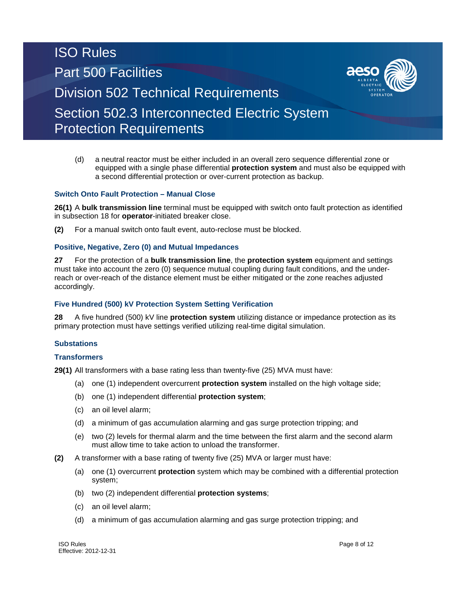(d) a neutral reactor must be either included in an overall zero sequence differential zone or equipped with a single phase differential **protection system** and must also be equipped with a second differential protection or over-current protection as backup.

## **Switch Onto Fault Protection – Manual Close**

**26(1)** A **bulk transmission line** terminal must be equipped with switch onto fault protection as identified in subsection 18 for **operator**-initiated breaker close.

**(2)** For a manual switch onto fault event, auto-reclose must be blocked.

### **Positive, Negative, Zero (0) and Mutual Impedances**

**27** For the protection of a **bulk transmission line**, the **protection system** equipment and settings must take into account the zero (0) sequence mutual coupling during fault conditions, and the underreach or over-reach of the distance element must be either mitigated or the zone reaches adjusted accordingly.

### **Five Hundred (500) kV Protection System Setting Verification**

**28** A five hundred (500) kV line **protection system** utilizing distance or impedance protection as its primary protection must have settings verified utilizing real-time digital simulation.

### **Substations**

### **Transformers**

**29(1)** All transformers with a base rating less than twenty-five (25) MVA must have:

- (a) one (1) independent overcurrent **protection system** installed on the high voltage side;
- (b) one (1) independent differential **protection system**;
- (c) an oil level alarm;
- (d) a minimum of gas accumulation alarming and gas surge protection tripping; and
- (e) two (2) levels for thermal alarm and the time between the first alarm and the second alarm must allow time to take action to unload the transformer.
- **(2)** A transformer with a base rating of twenty five (25) MVA or larger must have:
	- (a) one (1) overcurrent **protection** system which may be combined with a differential protection system;
	- (b) two (2) independent differential **protection systems**;
	- (c) an oil level alarm;
	- (d) a minimum of gas accumulation alarming and gas surge protection tripping; and

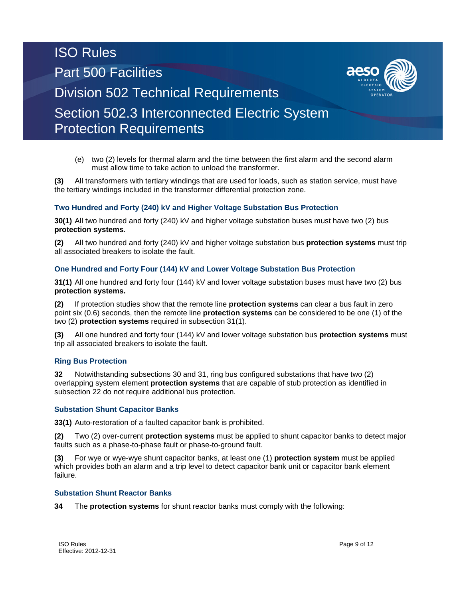(e) two (2) levels for thermal alarm and the time between the first alarm and the second alarm must allow time to take action to unload the transformer.

**(3)** All transformers with tertiary windings that are used for loads, such as station service, must have the tertiary windings included in the transformer differential protection zone.

## **Two Hundred and Forty (240) kV and Higher Voltage Substation Bus Protection**

**30(1)** All two hundred and forty (240) kV and higher voltage substation buses must have two (2) bus **protection systems**.

**(2)** All two hundred and forty (240) kV and higher voltage substation bus **protection systems** must trip all associated breakers to isolate the fault.

### **One Hundred and Forty Four (144) kV and Lower Voltage Substation Bus Protection**

**31(1)** All one hundred and forty four (144) kV and lower voltage substation buses must have two (2) bus **protection systems.**

**(2)** If protection studies show that the remote line **protection systems** can clear a bus fault in zero point six (0.6) seconds, then the remote line **protection systems** can be considered to be one (1) of the two (2) **protection systems** required in subsection 31(1).

**(3)** All one hundred and forty four (144) kV and lower voltage substation bus **protection systems** must trip all associated breakers to isolate the fault.

#### **Ring Bus Protection**

**32** Notwithstanding subsections 30 and 31, ring bus configured substations that have two (2) overlapping system element **protection systems** that are capable of stub protection as identified in subsection 22 do not require additional bus protection.

#### **Substation Shunt Capacitor Banks**

**33(1)** Auto-restoration of a faulted capacitor bank is prohibited.

**(2)** Two (2) over-current **protection systems** must be applied to shunt capacitor banks to detect major faults such as a phase-to-phase fault or phase-to-ground fault.

**(3)** For wye or wye-wye shunt capacitor banks, at least one (1) **protection system** must be applied which provides both an alarm and a trip level to detect capacitor bank unit or capacitor bank element failure.

#### **Substation Shunt Reactor Banks**

**34** The **protection systems** for shunt reactor banks must comply with the following: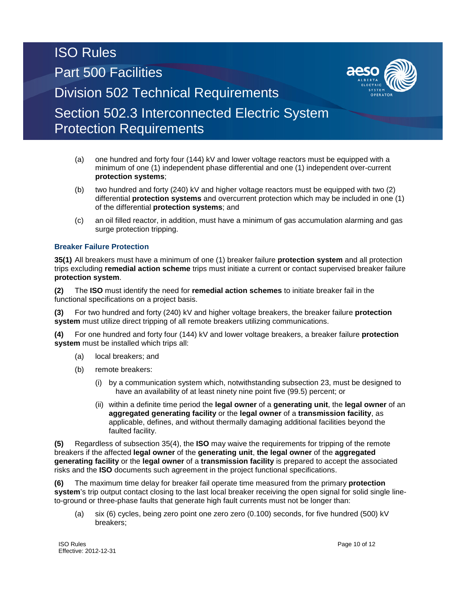- (a) one hundred and forty four (144) kV and lower voltage reactors must be equipped with a minimum of one (1) independent phase differential and one (1) independent over-current **protection systems**;
- (b) two hundred and forty (240) kV and higher voltage reactors must be equipped with two (2) differential **protection systems** and overcurrent protection which may be included in one (1) of the differential **protection systems**; and
- (c) an oil filled reactor, in addition, must have a minimum of gas accumulation alarming and gas surge protection tripping.

# **Breaker Failure Protection**

**35(1)** All breakers must have a minimum of one (1) breaker failure **protection system** and all protection trips excluding **remedial action scheme** trips must initiate a current or contact supervised breaker failure **protection system**.

**(2)** The **ISO** must identify the need for **remedial action schemes** to initiate breaker fail in the functional specifications on a project basis.

**(3)** For two hundred and forty (240) kV and higher voltage breakers, the breaker failure **protection system** must utilize direct tripping of all remote breakers utilizing communications.

**(4)** For one hundred and forty four (144) kV and lower voltage breakers, a breaker failure **protection system** must be installed which trips all:

- (a) local breakers; and
- (b) remote breakers:
	- (i) by a communication system which, notwithstanding subsection 23, must be designed to have an availability of at least ninety nine point five (99.5) percent; or
	- (ii) within a definite time period the **legal owner** of a **generating unit**, the **legal owner** of an **aggregated generating facility** or the **legal owner** of a **transmission facility**, as applicable, defines, and without thermally damaging additional facilities beyond the faulted facility.

**(5)** Regardless of subsection 35(4), the **ISO** may waive the requirements for tripping of the remote breakers if the affected **legal owner** of the **generating unit**, **the legal owner** of the **aggregated generating facility** or the **legal owner** of a **transmission facility** is prepared to accept the associated risks and the **ISO** documents such agreement in the project functional specifications.

**(6)** The maximum time delay for breaker fail operate time measured from the primary **protection system**'s trip output contact closing to the last local breaker receiving the open signal for solid single lineto-ground or three-phase faults that generate high fault currents must not be longer than:

(a) six (6) cycles, being zero point one zero zero (0.100) seconds, for five hundred (500) kV breakers;

**ISO Rules** Page 10 of 12 Effective: 2012-12-31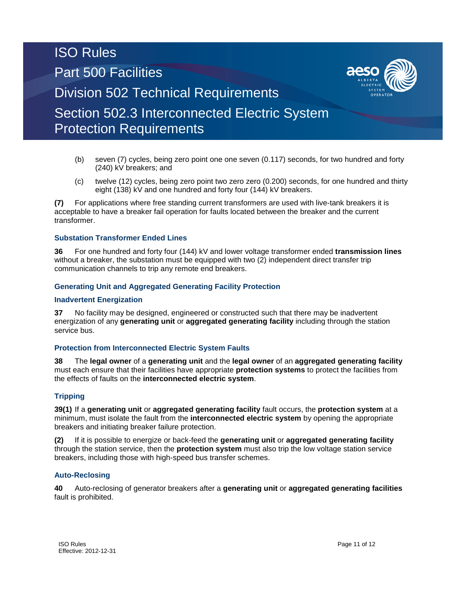- (b) seven (7) cycles, being zero point one one seven (0.117) seconds, for two hundred and forty (240) kV breakers; and
- (c) twelve (12) cycles, being zero point two zero zero (0.200) seconds, for one hundred and thirty eight (138) kV and one hundred and forty four (144) kV breakers.

**(7)** For applications where free standing current transformers are used with live-tank breakers it is acceptable to have a breaker fail operation for faults located between the breaker and the current transformer.

### **Substation Transformer Ended Lines**

**36** For one hundred and forty four (144) kV and lower voltage transformer ended **transmission lines** without a breaker, the substation must be equipped with two (2) independent direct transfer trip communication channels to trip any remote end breakers.

### **Generating Unit and Aggregated Generating Facility Protection**

### **Inadvertent Energization**

**37** No facility may be designed, engineered or constructed such that there may be inadvertent energization of any **generating unit** or **aggregated generating facility** including through the station service bus.

### **Protection from Interconnected Electric System Faults**

**38** The **legal owner** of a **generating unit** and the **legal owner** of an **aggregated generating facility** must each ensure that their facilities have appropriate **protection systems** to protect the facilities from the effects of faults on the **interconnected electric system**.

#### **Tripping**

**39(1)** If a **generating unit** or **aggregated generating facility** fault occurs, the **protection system** at a minimum, must isolate the fault from the **interconnected electric system** by opening the appropriate breakers and initiating breaker failure protection.

**(2)** If it is possible to energize or back-feed the **generating unit** or **aggregated generating facility** through the station service, then the **protection system** must also trip the low voltage station service breakers, including those with high-speed bus transfer schemes.

#### **Auto-Reclosing**

**40** Auto-reclosing of generator breakers after a **generating unit** or **aggregated generating facilities** fault is prohibited.